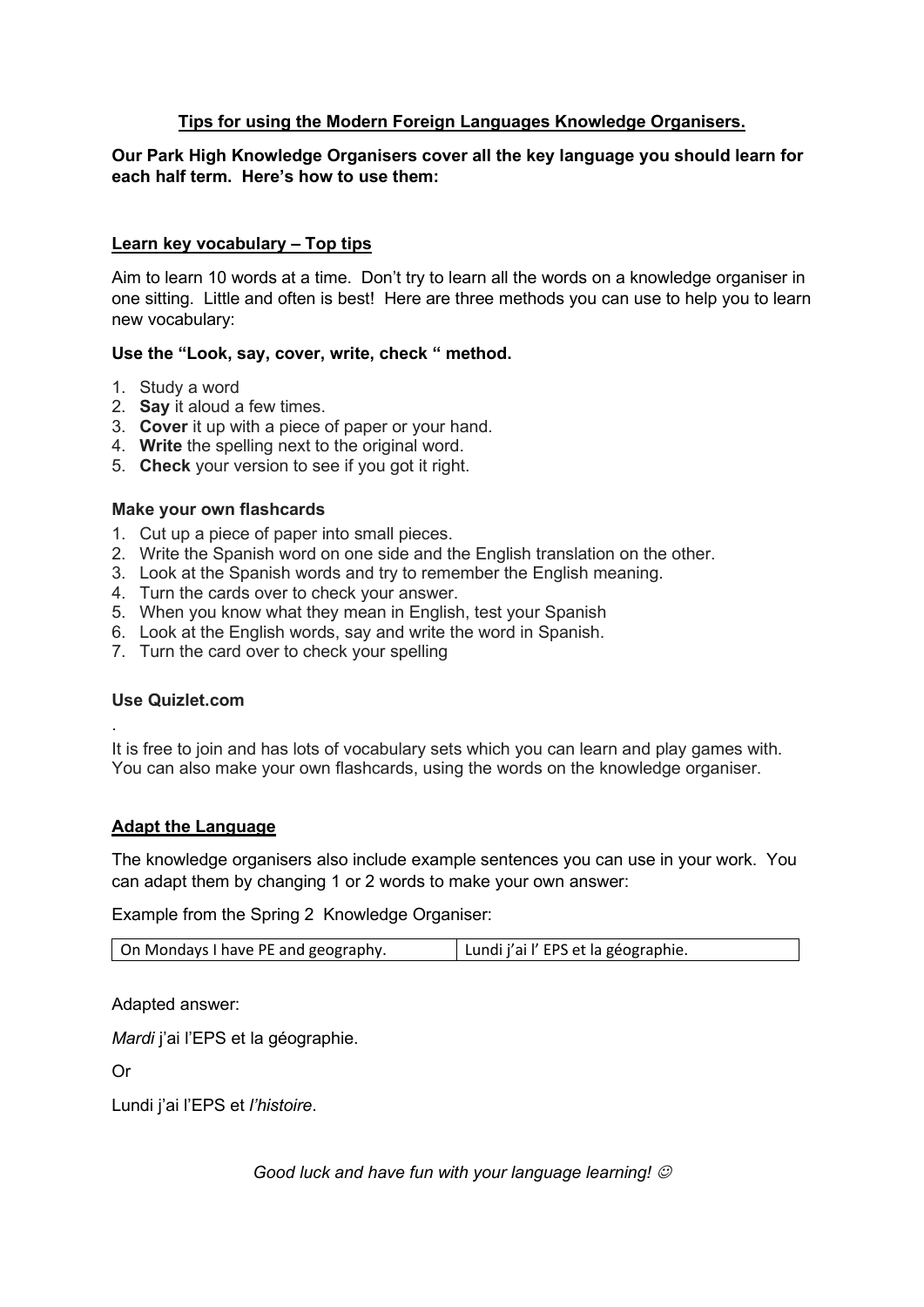### **Tips for using the Modern Foreign Languages Knowledge Organisers.**

### **Our Park High Knowledge Organisers cover all the key language you should learn for each half term. Here's how to use them:**

### **Learn key vocabulary – Top tips**

Aim to learn 10 words at a time. Don't try to learn all the words on a knowledge organiser in one sitting. Little and often is best! Here are three methods you can use to help you to learn new vocabulary:

#### **Use the "Look, say, cover, write, check " method.**

- 1. Study a word
- 2. **Say** it aloud a few times.
- 3. **Cover** it up with a piece of paper or your hand.
- 4. **Write** the spelling next to the original word.
- 5. **Check** your version to see if you got it right.

#### **Make your own flashcards**

- 1. Cut up a piece of paper into small pieces.
- 2. Write the Spanish word on one side and the English translation on the other.
- 3. Look at the Spanish words and try to remember the English meaning.
- 4. Turn the cards over to check your answer.
- 5. When you know what they mean in English, test your Spanish
- 6. Look at the English words, say and write the word in Spanish.
- 7. Turn the card over to check your spelling

#### **Use Quizlet.com**

.

It is free to join and has lots of vocabulary sets which you can learn and play games with. You can also make your own flashcards, using the words on the knowledge organiser.

#### **Adapt the Language**

The knowledge organisers also include example sentences you can use in your work. You can adapt them by changing 1 or 2 words to make your own answer:

Example from the Spring 2 Knowledge Organiser:

| Lundi j'ai l'EPS et la géographie.<br>On Mondays I have PE and geography. |
|---------------------------------------------------------------------------|
|---------------------------------------------------------------------------|

Adapted answer:

*Mardi* j'ai l'EPS et la géographie.

Or

Lundi j'ai l'EPS et *l'histoire*.

*Good luck and have fun with your language learning!*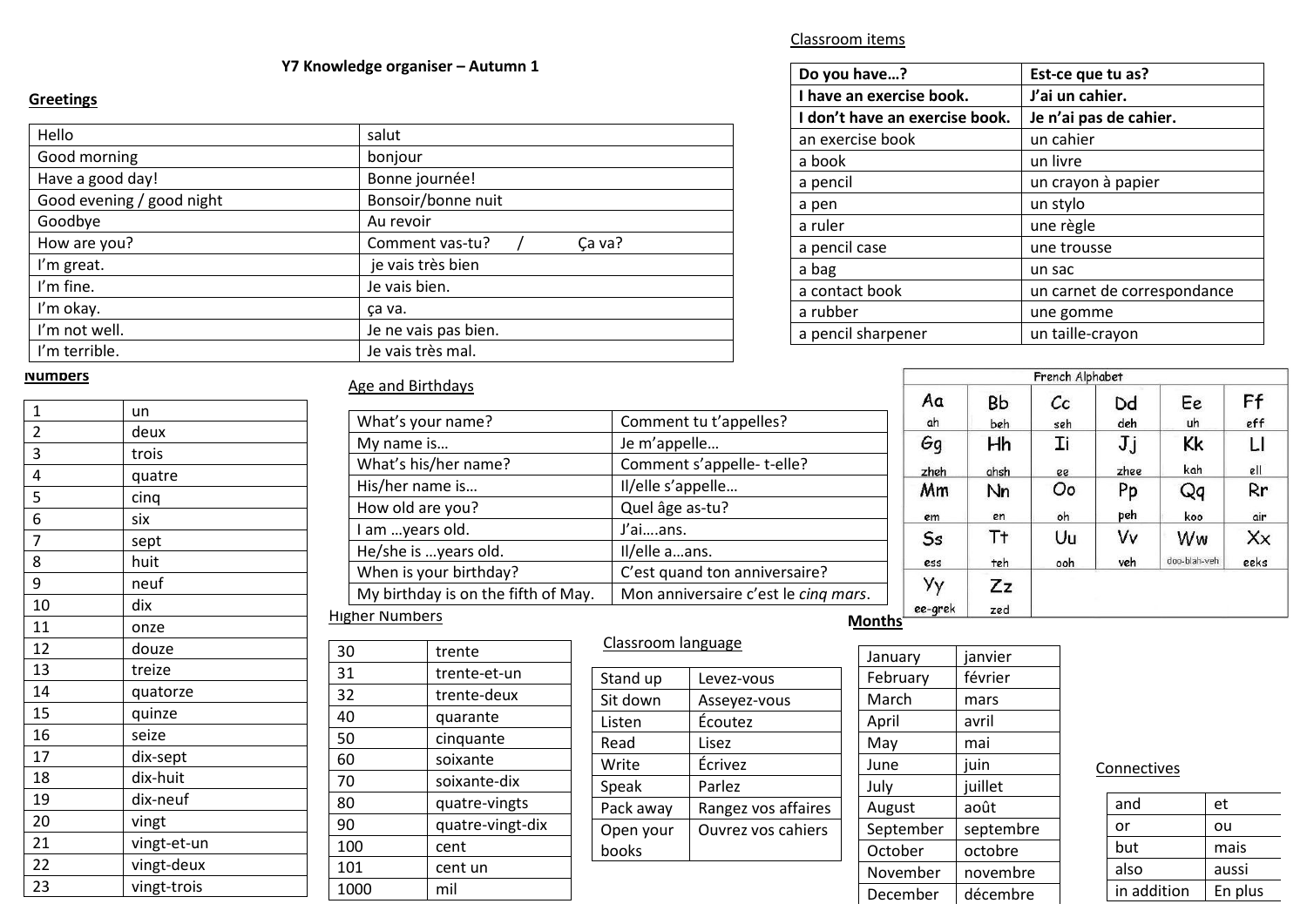#### **Y7 Knowledge organiser – Autumn 1**

#### **Greetings**

| Hello                     | salut                     |  |
|---------------------------|---------------------------|--|
| Good morning              | bonjour                   |  |
| Have a good day!          | Bonne journée!            |  |
| Good evening / good night | Bonsoir/bonne nuit        |  |
| Goodbye                   | Au revoir                 |  |
| How are you?              | Comment vas-tu?<br>Ça va? |  |
| I'm great.                | je vais très bien         |  |
| I'm fine.                 | Je vais bien.             |  |
| I'm okay.                 | ca va.                    |  |
| I'm not well.             | Je ne vais pas bien.      |  |
| I'm terrible.             | Je vais très mal.         |  |

# **Do you have…? Est-ce que tu as? I have an exercise book. J'ai un cahier. I don't have an exercise book. Je n'ai pas de cahier.** an exercise book and un cahier a book and un livre a pencil un crayon à papier a pen diagnosis diagnosis diagnosis diagnosis diagnosis diagnosis diagnosis diagnosis diagnosis diagnosis diagnosis diagnosis diagnosis diagnosis diagnosis diagnosis diagnosis diagnosis diagnosis diagnosis diagnosis diagno a ruler de la propone de la propone de la propone de la propone de la propone de la propone de la propone de l a pencil case a set of the trousse

a contact book un carnet de correspondance

a bag un sac

a rubber une gomme a pencil sharpener and un taille-crayon

|                |           | French Alphabet |      |              |      |
|----------------|-----------|-----------------|------|--------------|------|
| Aα             | Вb        | $c_{\rm c}$     | Dd   | Ee           | Ff   |
| ah             | beh       | seh             | deh  | uh           | eff  |
| Gg             | Hh        | Ιi              | Jj   | Kk           | LI   |
| zheh           | ahsh      | ee              | zhee | kah          | ell  |
| Mm             | Nn        | Oo              | Pp   | Qq           | Rr   |
| em             | en        | oh              | peh  | koo          | air  |
| S <sub>s</sub> | T†        | Uu              | V٧   | Ww           | Xx   |
| ess            | teh       | ooh             | veh  | doo-blah-veh | eeks |
| Уу<br>ee-grek  | Zz<br>zed |                 |      |              |      |

#### **Numbers**

| 1              | un          |
|----------------|-------------|
| $\overline{2}$ | deux        |
| 3              | trois       |
| 4              | quatre      |
| 5              | cinq        |
| 6              | six         |
| $\overline{7}$ | sept        |
| 8              | huit        |
| 9              | neuf        |
| 10             | dix         |
| 11             | onze        |
| 12             | douze       |
| 13             | treize      |
| 14             | quatorze    |
| 15             | quinze      |
| 16             | seize       |
| 17             | dix-sept    |
| 18             | dix-huit    |
| 19             | dix-neuf    |
| 20             | vingt       |
| 21             | vingt-et-un |
| 22             | vingt-deux  |
| 23             | vingt-trois |

#### Age and Birthdays

30 trente

31 trente-et-un<br>32 trente-deux

40 quarante<br>50 cinquante

60 soixante soixante-dix quatre-vingts quatre-vingt-dix

100 cent 101 cent un 1000 mil

trente-deux

cinquante

| T                                   |                                      |
|-------------------------------------|--------------------------------------|
| What's your name?                   | Comment tu t'appelles?               |
| My name is                          | Je m'appelle                         |
| What's his/her name?                | Comment s'appelle-t-elle?            |
| His/her name is                     | Il/elle s'appelle                    |
| How old are you?                    | Quel âge as-tu?                      |
| I am years old.                     | J'aians.                             |
| He/she is years old.                | Il/elle aans.                        |
| When is your birthday?              | C'est quand ton anniversaire?        |
| My birthday is on the fifth of May. | Mon anniversaire c'est le cinq mars. |
| <b>Higher Numbers</b>               | Montl                                |

### Classroom language

| Stand up  | Levez-vous                |
|-----------|---------------------------|
| Sit down  | Asseyez-vous              |
| Listen    | Écoutez                   |
| Read      | Lisez                     |
| Write     | Écrivez                   |
| Speak     | Parlez                    |
| Pack away | Rangez vos affaires       |
| Open your | <b>Ouvrez vos cahiers</b> |
| books     |                           |
|           |                           |

| January   | janvier   |
|-----------|-----------|
| February  | février   |
| March     | mars      |
| April     | avril     |
| May       | mai       |
| June      | juin      |
| July      | juillet   |
| August    | août      |
| September | septembre |
| October   | octobre   |
| November  | novembre  |
| December  | décembre  |

#### Connectives

| and         | et      |
|-------------|---------|
| or          | ou      |
| but         | mais    |
| also        | aussi   |
| in addition | En plus |

#### Classroom items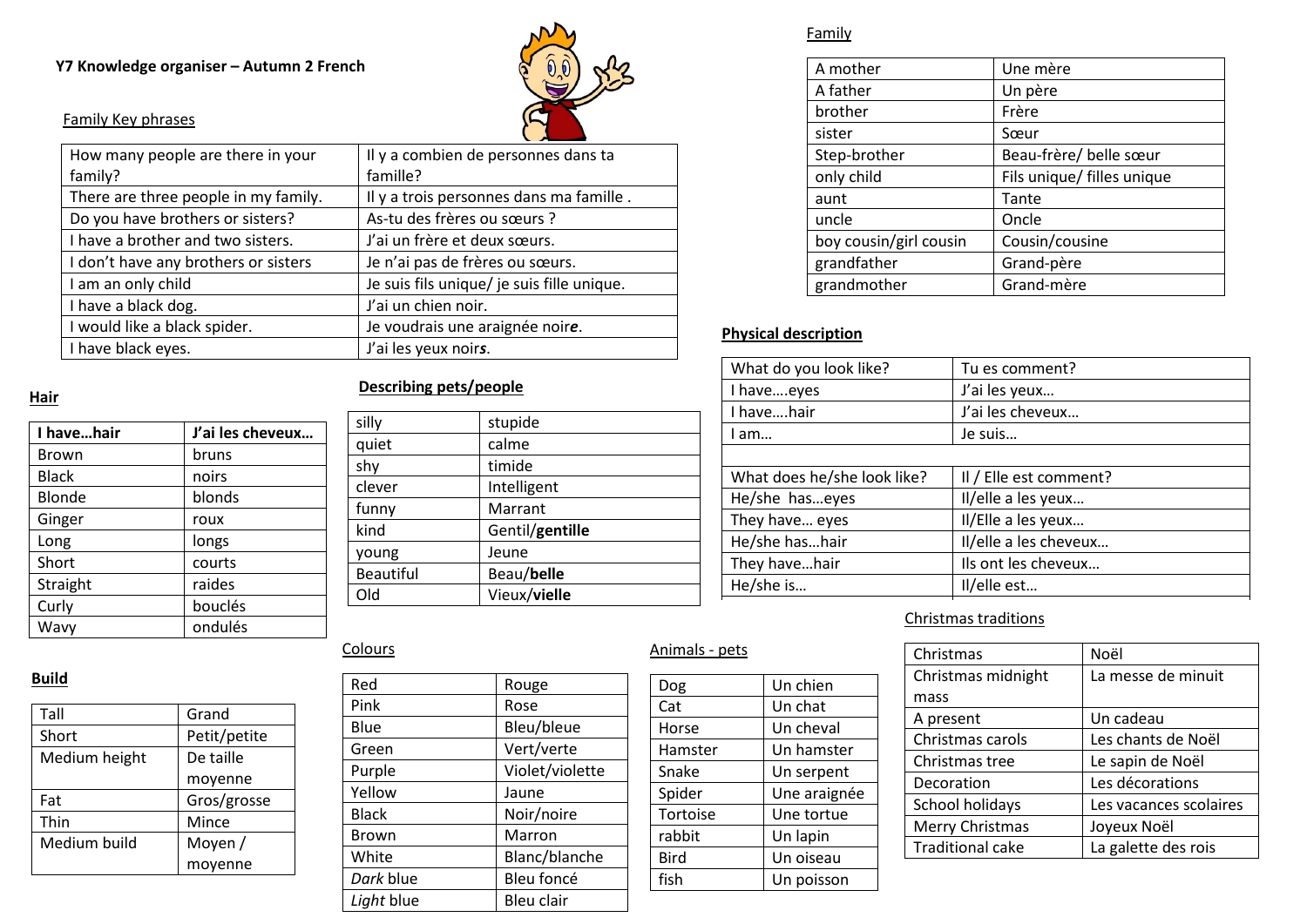### **Y7 Knowledge organiser – Autumn 2 French**



# Family Key phrases

| How many people are there in your    | Il y a combien de personnes dans ta        |
|--------------------------------------|--------------------------------------------|
| family?                              | famille?                                   |
| There are three people in my family. | Il y a trois personnes dans ma famille.    |
| Do you have brothers or sisters?     | As-tu des frères ou sœurs ?                |
| I have a brother and two sisters.    | J'ai un frère et deux sœurs.               |
| I don't have any brothers or sisters | Je n'ai pas de frères ou sœurs.            |
| I am an only child                   | Je suis fils unique/ je suis fille unique. |
| I have a black dog.                  | J'ai un chien noir.                        |
| I would like a black spider.         | Je voudrais une araignée noire.            |
| I have black eyes.                   | J'ai les yeux noirs.                       |
|                                      |                                            |

#### **Hair**

| I havehair   | J'ai les cheveux |
|--------------|------------------|
| Brown        | bruns            |
| <b>Black</b> | noirs            |
| Blonde       | blonds           |
| Ginger       | roux             |
| Long         | longs            |
| Short        | courts           |
| Straight     | raides           |
| Curly        | bouclés          |
| Wavy         | ondulés          |
|              |                  |

# **Build**

| Tall          | Grand        |
|---------------|--------------|
| Short         | Petit/petite |
| Medium height | De taille    |
|               | moyenne      |
| Fat           | Gros/grosse  |
| Thin          | Mince        |
| Medium build  | Moyen /      |
|               | moyenne      |

# **Describing pets/people**

| silly            | stupide         |
|------------------|-----------------|
| quiet            | calme           |
| shy              | timide          |
| clever           | Intelligent     |
| funny            | Marrant         |
| kind             | Gentil/gentille |
| young            | Jeune           |
| <b>Beautiful</b> | Beau/belle      |
| Old              | Vieux/vielle    |
|                  |                 |

# Family

| A mother               | Une mère                   |
|------------------------|----------------------------|
| A father               | Un père                    |
| brother                | Frère                      |
| sister                 | Sœur                       |
| Step-brother           | Beau-frère/ belle sœur     |
| only child             | Fils unique/ filles unique |
| aunt                   | Tante                      |
| uncle                  | Oncle                      |
| boy cousin/girl cousin | Cousin/cousine             |
| grandfather            | Grand-père                 |
| grandmother            | Grand-mère                 |

# **Physical description**

| What do you look like?      | Tu es comment?         |  |
|-----------------------------|------------------------|--|
| I haveeyes                  | J'ai les yeux          |  |
| I havehair                  | J'ai les cheveux       |  |
| I am…                       | Je suis                |  |
|                             |                        |  |
| What does he/she look like? | Il / Elle est comment? |  |
| He/she haseyes              | Il/elle a les yeux     |  |
| They have eyes              | Il/Elle a les yeux     |  |
| He/she hashair              | Il/elle a les cheveux  |  |
| They havehair               | Ils ont les cheveux    |  |
| He/she is                   | Il/elle est            |  |
|                             |                        |  |

# Christmas traditions

| Christmas               | Noël                   |
|-------------------------|------------------------|
| Christmas midnight      | La messe de minuit     |
| mass                    |                        |
| A present               | Un cadeau              |
| Christmas carols        | Les chants de Noël     |
| Christmas tree          | Le sapin de Noël       |
| Decoration              | Les décorations        |
| School holidays         | Les vacances scolaires |
| Merry Christmas         | Joyeux Noël            |
| <b>Traditional cake</b> | La galette des rois    |

# **Colours**

| Red        | Rouge           |
|------------|-----------------|
| Pink       | Rose            |
| Blue       | Bleu/bleue      |
| Green      | Vert/verte      |
| Purple     | Violet/violette |
| Yellow     | Jaune           |
| Black      | Noir/noire      |
| Brown      | Marron          |
| White      | Blanc/blanche   |
| Dark blue  | Bleu foncé      |
| Light blue | Bleu clair      |
|            |                 |

# Animals - pets

| Dog         | Un chien     |
|-------------|--------------|
| Cat         | Un chat      |
| Horse       | Un cheval    |
| Hamster     | Un hamster   |
| Snake       | Un serpent   |
| Spider      | Une araignée |
| Tortoise    | Une tortue   |
| rabbit      | Un lapin     |
| <b>Bird</b> | Un oiseau    |
| fish        | Un poisson   |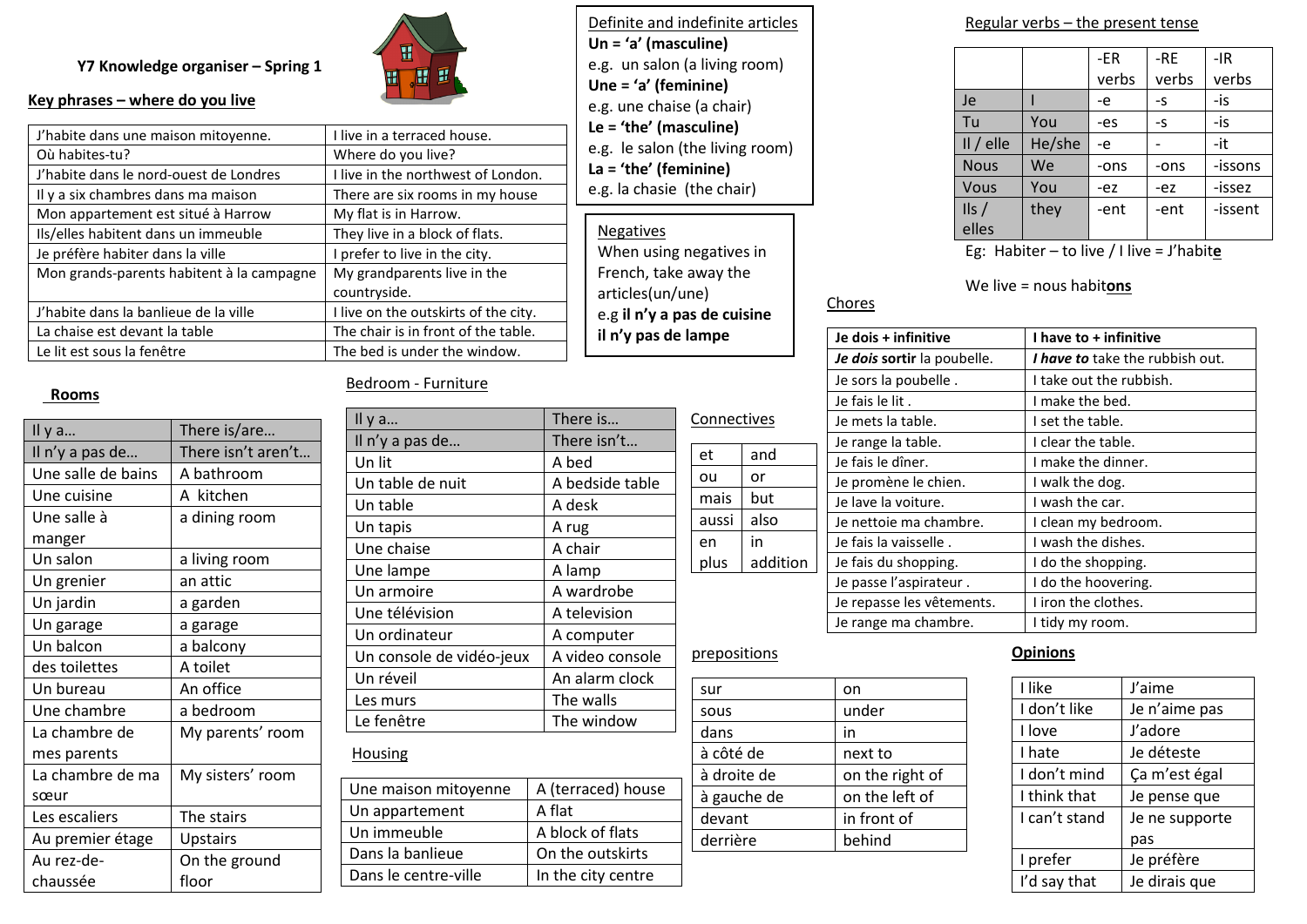#### **Y7 Knowledge organiser – Spring 1**



#### **Key phrases – where do you live**

| J'habite dans une maison mitoyenne.       | I live in a terraced house.          |
|-------------------------------------------|--------------------------------------|
| Où habites-tu?                            | Where do you live?                   |
| J'habite dans le nord-ouest de Londres    | I live in the northwest of London.   |
| Il y a six chambres dans ma maison        | There are six rooms in my house      |
| Mon appartement est situé à Harrow        | My flat is in Harrow.                |
| Ils/elles habitent dans un immeuble       | They live in a block of flats.       |
| Je préfère habiter dans la ville          | I prefer to live in the city.        |
| Mon grands-parents habitent à la campagne | My grandparents live in the          |
|                                           | countryside.                         |
| J'habite dans la banlieue de la ville     | I live on the outskirts of the city. |
| La chaise est devant la table             | The chair is in front of the table.  |
| Le lit est sous la fenêtre                | The bed is under the window.         |

#### **Rooms**

| Il y a             | There is/are       |
|--------------------|--------------------|
| Il n'y a pas de    | There isn't aren't |
| Une salle de bains | A bathroom         |
| Une cuisine        | A kitchen          |
| Une salle à        | a dining room      |
| manger             |                    |
| Un salon           | a living room      |
| Un grenier         | an attic           |
| Un jardin          | a garden           |
| Un garage          | a garage           |
| Un balcon          | a balcony          |
| des toilettes      | A toilet           |
| Un bureau          | An office          |
| Une chambre        | a bedroom          |
| La chambre de      | My parents' room   |
| mes parents        |                    |
| La chambre de ma   | My sisters' room   |
| sœur               |                    |
| Les escaliers      | The stairs         |
| Au premier étage   | Upstairs           |
| Au rez-de-         | On the ground      |
| chaussée           | floor              |

#### Bedroom - Furniture

| Il $y$ a                 | There is        |
|--------------------------|-----------------|
| Il n'y a pas de          | There isn't     |
| Un lit                   | A bed           |
| Un table de nuit         | A bedside table |
| Un table                 | A desk          |
| Un tapis                 | A rug           |
| Une chaise               | A chair         |
| Une lampe                | A lamp          |
| Un armoire               | A wardrobe      |
| Une télévision           | A television    |
| Un ordinateur            | A computer      |
| Un console de vidéo-jeux | A video console |
| Un réveil                | An alarm clock  |
| Les murs                 | The walls       |
| Le fenêtre               | The window      |
|                          |                 |

# **Housing**

| Une maison mitoyenne | A (terraced) house |
|----------------------|--------------------|
| Un appartement       | A flat             |
| Un immeuble          | A block of flats   |
| Dans la banlieue     | On the outskirts   |
| Dans le centre-ville | In the city centre |
|                      |                    |

Definite and indefinite articles **Un = 'a' (masculine)**  e.g. un salon (a living room) **Une = 'a' (feminine)** e.g. une chaise (a chair) **Le = 'the' (masculine)** e.g. le salon (the living room) **La = 'the' (feminine)** e.g. la chasie (the chair)

Negatives When using negatives in French, take away the articles(un/une) e.g **il n'y a pas de cuisine il n'y pas de lampe** 

#### Regular verbs – the present tense

|               |        | -ER   | $-RE$ | $-IR$   |
|---------------|--------|-------|-------|---------|
|               |        | verbs | verbs | verbs   |
| Je            |        | -e    | -S    | -is     |
| Tu            | You    | -es   | -S    | -is     |
| $II/$ elle    | He/she | -e    |       | -it     |
| <b>Nous</b>   | We     | -ons  | -ons  | -issons |
| Vous          | You    | -ez   | -ez   | -issez  |
| $\frac{1}{s}$ | they   | -ent  | -ent  | -issent |
| elles         |        |       |       |         |

Eg: Habiter – to live / I live = J'habit**e**

#### We live = nous habit**ons**

#### **Je dois + infinitive I have to + infinitive**  *Je dois* **sortir** la poubelle. *I have to* take the rubbish out. Je sors la poubelle . I take out the rubbish. Je fais le lit . I make the bed. Je mets la table.  $\vert$  I set the table. Je range la table.  $\vert$  I clear the table. Je fais le dîner.<br>
I make the dinner. Je promène le chien. **I** walk the dog. Je lave la voiture.  $\vert$  I wash the car. Je nettoie ma chambre. | I clean my bedroom. Je fais la vaisselle .  $\vert$  I wash the dishes. Je fais du shopping. **I** I do the shopping. Je passe l'aspirateur . I do the hoovering. Je repasse les vêtements. | I iron the clothes. Je range ma chambre.  $\vert$  I tidy my room. addition

#### prepositions

Connectives

et and ou or mais but aussi also

in

en plus

| sur         | on              |
|-------------|-----------------|
| sous        | under           |
| dans        | in              |
| à côté de   | next to         |
| à droite de | on the right of |
| à gauche de | on the left of  |
| devant      | in front of     |
| derrière    | behind          |
|             |                 |

Chores

#### **Opinions**

| I like        | J'aime         |
|---------------|----------------|
| I don't like  | Je n'aime pas  |
| I love        | J'adore        |
| I hate        | Je déteste     |
| I don't mind  | Ça m'est égal  |
| I think that  | Je pense que   |
| I can't stand | Je ne supporte |
|               | pas            |
| I prefer      | Je préfère     |
| I'd say that  | Je dirais que  |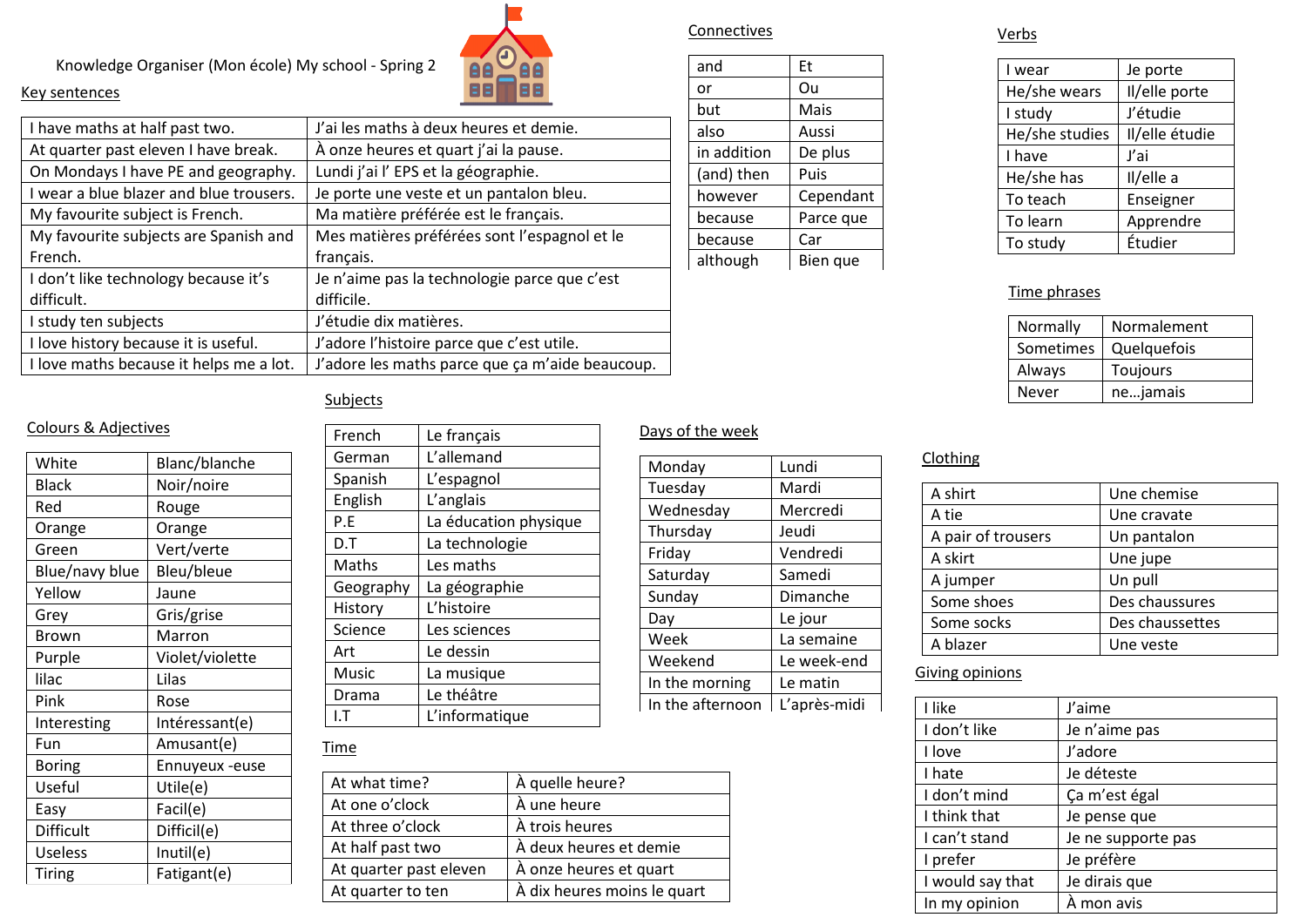Knowledge Organiser (Mon école) My school - Spring 2



| NEY SEIILEIILES                         |                                                 |
|-----------------------------------------|-------------------------------------------------|
| I have maths at half past two.          | J'ai les maths à deux heures et demie.          |
| At quarter past eleven I have break.    | À onze heures et quart j'ai la pause.           |
| On Mondays I have PE and geography.     | Lundi j'ai l' EPS et la géographie.             |
| I wear a blue blazer and blue trousers. | Je porte une veste et un pantalon bleu.         |
| My favourite subject is French.         | Ma matière préférée est le français.            |
| My favourite subjects are Spanish and   | Mes matières préférées sont l'espagnol et le    |
| French.                                 | français.                                       |
| I don't like technology because it's    | Je n'aime pas la technologie parce que c'est    |
| difficult.                              | difficile.                                      |
| I study ten subjects                    | J'étudie dix matières.                          |
| I love history because it is useful.    | J'adore l'histoire parce que c'est utile.       |
| I love maths because it helps me a lot. | J'adore les maths parce que ça m'aide beaucoup. |

| and         | Et        |
|-------------|-----------|
| or          | Ou        |
| but         | Mais      |
| also        | Aussi     |
| in addition | De plus   |
| (and) then  | Puis      |
| however     | Cependant |
| because     | Parce que |
| because     | Car       |
| although    | Bien que  |

Connectives

#### Verbs

| I wear         | Je porte       |  |
|----------------|----------------|--|
| He/she wears   | Il/elle porte  |  |
| I study        | J'étudie       |  |
| He/she studies | Il/elle étudie |  |
| I have         | J'ai           |  |
| He/she has     | Il/elle a      |  |
| To teach       | Enseigner      |  |
| To learn       | Apprendre      |  |
| To study       | Étudier        |  |

#### Time phrases

| Normally  | Normalement |
|-----------|-------------|
| Sometimes | Quelquefois |
| Always    | Toujours    |
| Never     | nejamais    |

# $S$ ub

#### Colours & Adjectives

| White          | Blanc/blanche   |
|----------------|-----------------|
| <b>Black</b>   | Noir/noire      |
| Red            | Rouge           |
| Orange         | Orange          |
| Green          | Vert/verte      |
| Blue/navy blue | Bleu/bleue      |
| Yellow         | Jaune           |
| Grey           | Gris/grise      |
| Brown          | Marron          |
| Purple         | Violet/violette |
| lilac          | Lilas           |
| Pink           | Rose            |
| Interesting    | Intéressant(e)  |
| Fun            | Amusant(e)      |
| <b>Boring</b>  | Ennuyeux -euse  |
| Useful         | Utile(e)        |
| Easy           | Facil(e)        |
| Difficult      | Difficil(e)     |
| <b>Useless</b> | Inutil(e)       |
| <b>Tiring</b>  | Fatigant(e)     |
|                |                 |

# French Le français German L'allemand Spanish L'espagnol English L'anglais P.E La éducation physique D.T | La technologie Maths Les maths Geography La géographie History | L'histoire Science | Les sciences Art Le dessin Music | La musique Drama Le théâtre I.T L'informatique

# Days of the week

| Monday           | Lundi        |  |  |  |
|------------------|--------------|--|--|--|
| Tuesday          | Mardi        |  |  |  |
| Wednesday        | Mercredi     |  |  |  |
| Thursday         | Jeudi        |  |  |  |
| Friday           | Vendredi     |  |  |  |
| Saturday         | Samedi       |  |  |  |
| Sunday           | Dimanche     |  |  |  |
| Day              | Le jour      |  |  |  |
| Week             | La semaine   |  |  |  |
| Weekend          | Le week-end  |  |  |  |
| In the morning   | Le matin     |  |  |  |
| In the afternoon | L'après-midi |  |  |  |

#### **Time**

| At what time?          | À quelle heure?             |
|------------------------|-----------------------------|
| At one o'clock         | À une heure                 |
| At three o'clock       | À trois heures              |
| At half past two       | À deux heures et demie      |
| At quarter past eleven | À onze heures et quart      |
| At quarter to ten      | À dix heures moins le quart |
|                        |                             |

# **Clothing**

| A shirt            | Une chemise     |
|--------------------|-----------------|
| A tie              | Une cravate     |
| A pair of trousers | Un pantalon     |
| A skirt            | Une jupe        |
| A jumper           | Un pull         |
| Some shoes         | Des chaussures  |
| Some socks         | Des chaussettes |
| A blazer           | Une veste       |

#### Giving opinions

| I like           | J'aime             |
|------------------|--------------------|
| I don't like     | Je n'aime pas      |
| I love           | J'adore            |
| I hate           | Je déteste         |
| I don't mind     | Ça m'est égal      |
| I think that     | Je pense que       |
| I can't stand    | Je ne supporte pas |
| I prefer         | Je préfère         |
| I would say that | Je dirais que      |
| In my opinion    | À mon avis         |

# Key sentences

| ore les maths pa |  |  |
|------------------|--|--|
| <u>bjects</u>    |  |  |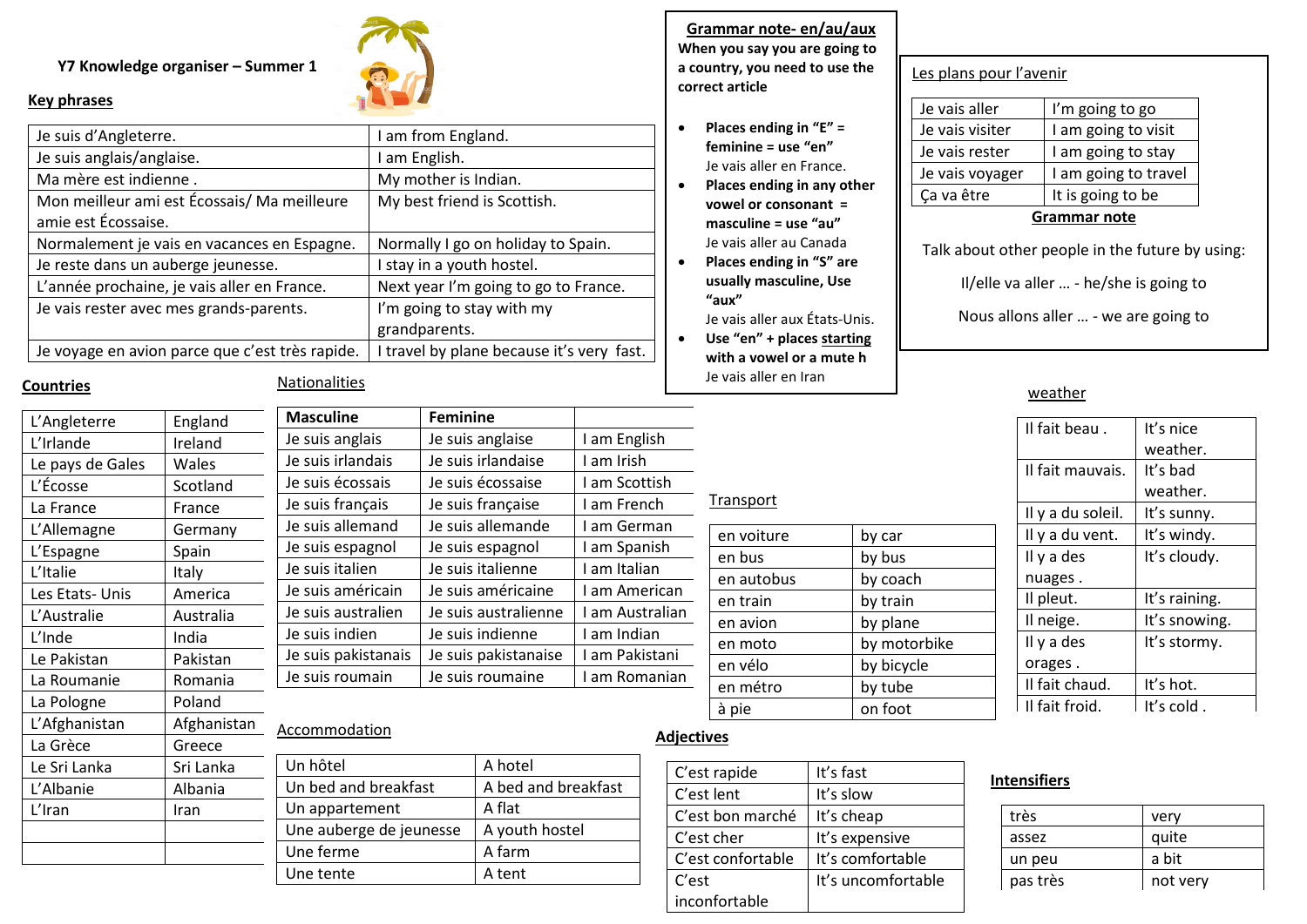#### **Y7 Knowledge organiser – Summer 1**



#### **Key phrases**

| Je suis d'Angleterre.                           | I am from England.                        |  |  |
|-------------------------------------------------|-------------------------------------------|--|--|
| Je suis anglais/anglaise.                       | I am English.                             |  |  |
| Ma mère est indienne.                           | My mother is Indian.                      |  |  |
| Mon meilleur ami est Écossais/Ma meilleure      | My best friend is Scottish.               |  |  |
| amie est Écossaise.                             |                                           |  |  |
| Normalement je vais en vacances en Espagne.     | Normally I go on holiday to Spain.        |  |  |
| Je reste dans un auberge jeunesse.              | I stay in a youth hostel.                 |  |  |
| L'année prochaine, je vais aller en France.     | Next year I'm going to go to France.      |  |  |
| Je vais rester avec mes grands-parents.         | I'm going to stay with my                 |  |  |
|                                                 | grandparents.                             |  |  |
| Je voyage en avion parce que c'est très rapide. | I travel by plane because it's very fast. |  |  |

#### **Countries**

#### Nationalities

|             | <b>Masculine</b>                    |                      |                     |                                                                                                                                                          |                |  |
|-------------|-------------------------------------|----------------------|---------------------|----------------------------------------------------------------------------------------------------------------------------------------------------------|----------------|--|
| Ireland     | Je suis anglais<br>Je suis anglaise |                      | I am English        |                                                                                                                                                          |                |  |
| Wales       | Je suis irlandais                   |                      |                     | I am Irish                                                                                                                                               |                |  |
| Scotland    | Je suis écossais                    |                      |                     | I am Scottish                                                                                                                                            |                |  |
| France      | Je suis français                    |                      |                     | I am French                                                                                                                                              |                |  |
| Germany     | Je suis allemand                    |                      |                     | I am German                                                                                                                                              |                |  |
| Spain       | Je suis espagnol                    |                      |                     | I am Spanish                                                                                                                                             |                |  |
| Italy       | Je suis italien                     |                      |                     | I am Italian                                                                                                                                             |                |  |
| America     | Je suis américain                   |                      | Je suis américaine  |                                                                                                                                                          | I am American  |  |
| Australia   | Je suis australien                  | Je suis australienne |                     | I am Australian                                                                                                                                          |                |  |
| India       | Je suis indien<br>Je suis indienne  |                      | I am Indian         |                                                                                                                                                          |                |  |
| Pakistan    | Je suis pakistanais                 | Je suis pakistanaise |                     | I am Pakistani                                                                                                                                           |                |  |
| Romania     | Je suis roumain                     | Je suis roumaine     |                     | I am Romanian                                                                                                                                            |                |  |
| Poland      |                                     |                      |                     |                                                                                                                                                          |                |  |
| Afghanistan |                                     |                      |                     |                                                                                                                                                          |                |  |
| Greece      |                                     |                      |                     |                                                                                                                                                          | <u>Adject</u>  |  |
| Sri Lanka   | Un hôtel                            |                      |                     | C'e                                                                                                                                                      |                |  |
| Albania     | Un bed and breakfast                |                      | A bed and breakfast |                                                                                                                                                          | C'e            |  |
| <b>Iran</b> | Un appartement                      |                      |                     | A flat                                                                                                                                                   |                |  |
|             | Une auberge de jeunesse             |                      |                     |                                                                                                                                                          | C'e<br>$C'$ e  |  |
|             | England                             | Accommodation        |                     | <b>Feminine</b><br>Je suis irlandaise<br>Je suis écossaise<br>Je suis française<br>Je suis allemande<br>Je suis espagnol<br>Je suis italienne<br>A hotel | A youth hostel |  |

Une ferme A farm Une tente A tent

**Grammar note- en/au/aux When you say you are going to a country, you need to use the correct article**

- **Places ending in "E" = feminine = use "en"** Je vais aller en France.
- **Places ending in any other vowel or consonant = masculine = use "au"** Je vais aller au Canada
- **Places ending in "S" are usually masculine, Use "aux"**
- Je vais aller aux États-Unis. • **Use "en" + places starting**
- **with a vowel or a mute h** Je vais aller en Iran

en voiture by car en bus by bus en autobus by coach en train by train en avion by plane en moto by motorbike en vélo by bicycle en métro **by tube** à pie on foot

Transport

# Les plans pour l'avenir

| Je vais visiter               | I am going to visit                       |
|-------------------------------|-------------------------------------------|
| Je vais rester                | I am going to stay                        |
| Je vais voyager<br>Ça va être | I am going to travel<br>It is going to be |
| <b>Grammar note</b>           |                                           |

#### Talk about other people in the future by using:

Il/elle va aller … - he/she is going to

Nous allons aller … - we are going to

#### weather

| Il fait beau.     | It's nice     |
|-------------------|---------------|
|                   | weather.      |
| Il fait mauvais.  | It's bad      |
|                   | weather.      |
| Il y a du soleil. | It's sunny.   |
| Il y a du vent.   | It's windy.   |
| Il y a des        | It's cloudy.  |
| nuages.           |               |
| Il pleut.         | It's raining. |
| Il neige.         | It's snowing. |
| Il y a des        | It's stormy.  |
| orages.           |               |
| Il fait chaud.    | It's hot.     |
| Il fait froid.    | It's cold.    |

#### **Adjectives**

| C'est rapide      | It's fast          |
|-------------------|--------------------|
| C'est lent        | It's slow          |
| C'est bon marché  | It's cheap         |
| C'est cher        | It's expensive     |
| C'est confortable | It's comfortable   |
| C'est             | It's uncomfortable |
| inconfortable     |                    |

#### **Intensifiers**

| very     |
|----------|
| quite    |
| a bit    |
| not very |
|          |